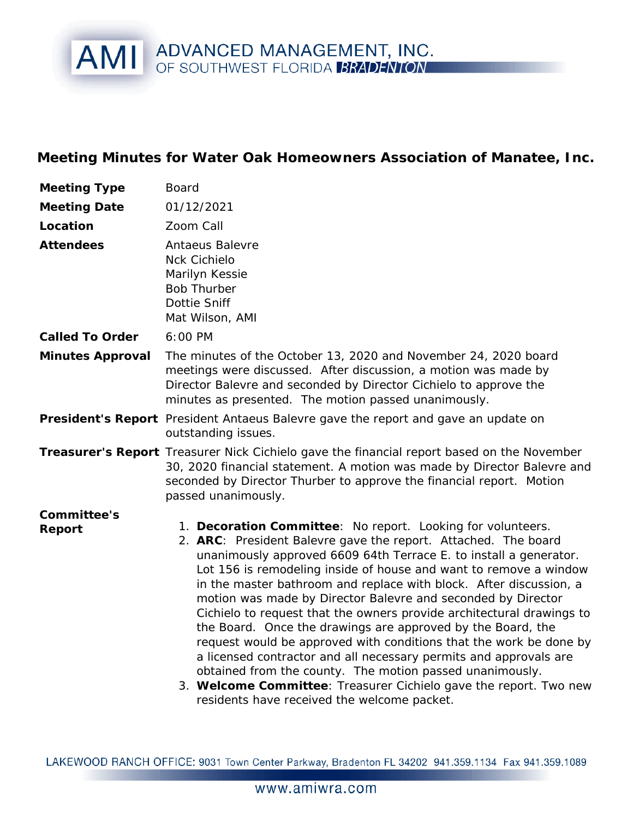## AMI ADVANCED MANAGEMENT, INC.

**Meeting Minutes for Water Oak Homeowners Association of Manatee, Inc.**

| Meeting Type          | Board                                                                                                                                                                                                                                                                                                                                                                                                                                                                                                                                                                                                                                                                                                                                                                                                                             |
|-----------------------|-----------------------------------------------------------------------------------------------------------------------------------------------------------------------------------------------------------------------------------------------------------------------------------------------------------------------------------------------------------------------------------------------------------------------------------------------------------------------------------------------------------------------------------------------------------------------------------------------------------------------------------------------------------------------------------------------------------------------------------------------------------------------------------------------------------------------------------|
| <b>Meeting Date</b>   | 01/12/2021                                                                                                                                                                                                                                                                                                                                                                                                                                                                                                                                                                                                                                                                                                                                                                                                                        |
| Location              | Zoom Call                                                                                                                                                                                                                                                                                                                                                                                                                                                                                                                                                                                                                                                                                                                                                                                                                         |
| Attendees             | Antaeus Balevre<br><b>Nck Cichielo</b><br>Marilyn Kessie<br><b>Bob Thurber</b><br>Dottie Sniff<br>Mat Wilson, AMI                                                                                                                                                                                                                                                                                                                                                                                                                                                                                                                                                                                                                                                                                                                 |
| Called To Order       | 6:00 PM                                                                                                                                                                                                                                                                                                                                                                                                                                                                                                                                                                                                                                                                                                                                                                                                                           |
| Minutes Approval      | The minutes of the October 13, 2020 and November 24, 2020 board<br>meetings were discussed. After discussion, a motion was made by<br>Director Balevre and seconded by Director Cichielo to approve the<br>minutes as presented. The motion passed unanimously.                                                                                                                                                                                                                                                                                                                                                                                                                                                                                                                                                                   |
|                       | President's Report President Antaeus Balevre gave the report and gave an update on<br>outstanding issues.                                                                                                                                                                                                                                                                                                                                                                                                                                                                                                                                                                                                                                                                                                                         |
|                       | Treasurer's Report Treasurer Nick Cichielo gave the financial report based on the November<br>30, 2020 financial statement. A motion was made by Director Balevre and<br>seconded by Director Thurber to approve the financial report. Motion<br>passed unanimously.                                                                                                                                                                                                                                                                                                                                                                                                                                                                                                                                                              |
| Committee's<br>Report | 1. Decoration Committee: No report. Looking for volunteers.<br>2. ARC: President Balevre gave the report. Attached. The board<br>unanimously approved 6609 64th Terrace E. to install a generator.<br>Lot 156 is remodeling inside of house and want to remove a window<br>in the master bathroom and replace with block. After discussion, a<br>motion was made by Director Balevre and seconded by Director<br>Cichielo to request that the owners provide architectural drawings to<br>the Board. Once the drawings are approved by the Board, the<br>request would be approved with conditions that the work be done by<br>a licensed contractor and all necessary permits and approvals are<br>obtained from the county. The motion passed unanimously.<br>3. Welcome Committee: Treasurer Cichielo gave the report. Two new |

LAKEWOOD RANCH OFFICE: 9031 Town Center Parkway, Bradenton FL 34202 941.359.1134 Fax 941.359.1089